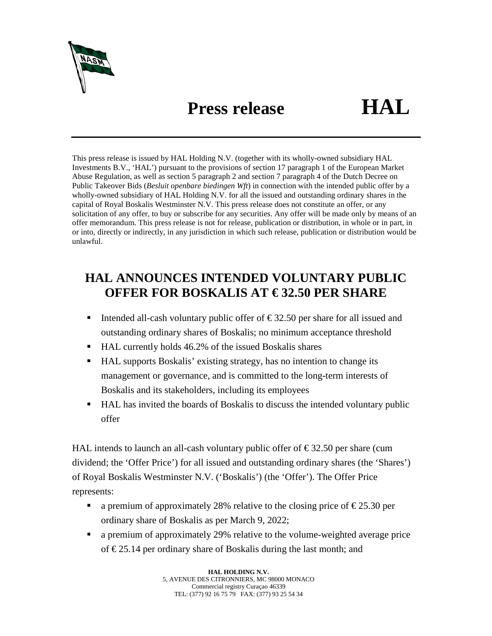

## **Press release HAL**

This press release is issued by HAL Holding N.V. (together with its wholly-owned subsidiary HAL Investments B.V., 'HAL') pursuant to the provisions of section 17 paragraph 1 of the European Market Abuse Regulation, as well as section 5 paragraph 2 and section 7 paragraph 4 of the Dutch Decree on Public Takeover Bids (*Besluit openbare biedingen Wft*) in connection with the intended public offer by a wholly-owned subsidiary of HAL Holding N.V. for all the issued and outstanding ordinary shares in the capital of Royal Boskalis Westminster N.V. This press release does not constitute an offer, or any solicitation of any offer, to buy or subscribe for any securities. Any offer will be made only by means of an offer memorandum. This press release is not for release, publication or distribution, in whole or in part, in or into, directly or indirectly, in any jurisdiction in which such release, publication or distribution would be unlawful.

## **HAL ANNOUNCES INTENDED VOLUNTARY PUBLIC OFFER FOR BOSKALIS AT € 32.50 PER SHARE**

- Intended all-cash voluntary public offer of  $\epsilon$ 32.50 per share for all issued and outstanding ordinary shares of Boskalis; no minimum acceptance threshold
- HAL currently holds 46.2% of the issued Boskalis shares
- HAL supports Boskalis' existing strategy, has no intention to change its management or governance, and is committed to the long-term interests of Boskalis and its stakeholders, including its employees
- HAL has invited the boards of Boskalis to discuss the intended voluntary public offer

HAL intends to launch an all-cash voluntary public offer of  $\epsilon$ 32.50 per share (cum dividend; the 'Offer Price') for all issued and outstanding ordinary shares (the 'Shares') of Royal Boskalis Westminster N.V. ('Boskalis') (the 'Offer'). The Offer Price represents:

- a premium of approximately 28% relative to the closing price of  $\epsilon$ 25.30 per ordinary share of Boskalis as per March 9, 2022;
- a premium of approximately 29% relative to the volume-weighted average price of € 25.14 per ordinary share of Boskalis during the last month; and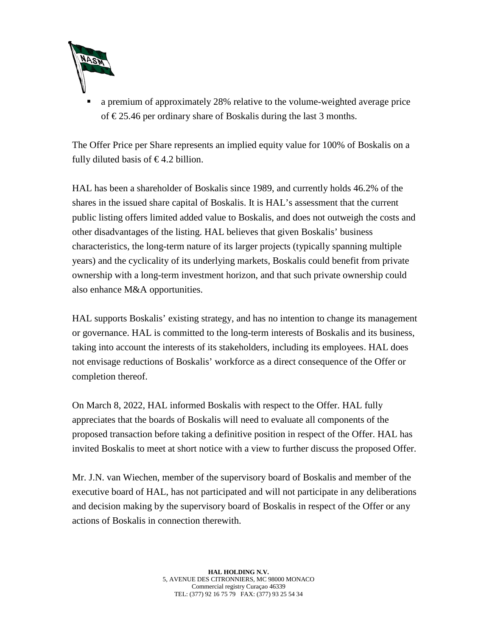

 a premium of approximately 28% relative to the volume-weighted average price of €25.46 per ordinary share of Boskalis during the last 3 months.

The Offer Price per Share represents an implied equity value for 100% of Boskalis on a fully diluted basis of  $\epsilon$ 4.2 billion.

HAL has been a shareholder of Boskalis since 1989, and currently holds 46.2% of the shares in the issued share capital of Boskalis. It is HAL's assessment that the current public listing offers limited added value to Boskalis, and does not outweigh the costs and other disadvantages of the listing. HAL believes that given Boskalis' business characteristics, the long-term nature of its larger projects (typically spanning multiple years) and the cyclicality of its underlying markets, Boskalis could benefit from private ownership with a long-term investment horizon, and that such private ownership could also enhance M&A opportunities.

HAL supports Boskalis' existing strategy, and has no intention to change its management or governance. HAL is committed to the long-term interests of Boskalis and its business, taking into account the interests of its stakeholders, including its employees. HAL does not envisage reductions of Boskalis' workforce as a direct consequence of the Offer or completion thereof.

On March 8, 2022, HAL informed Boskalis with respect to the Offer. HAL fully appreciates that the boards of Boskalis will need to evaluate all components of the proposed transaction before taking a definitive position in respect of the Offer. HAL has invited Boskalis to meet at short notice with a view to further discuss the proposed Offer.

Mr. J.N. van Wiechen, member of the supervisory board of Boskalis and member of the executive board of HAL, has not participated and will not participate in any deliberations and decision making by the supervisory board of Boskalis in respect of the Offer or any actions of Boskalis in connection therewith.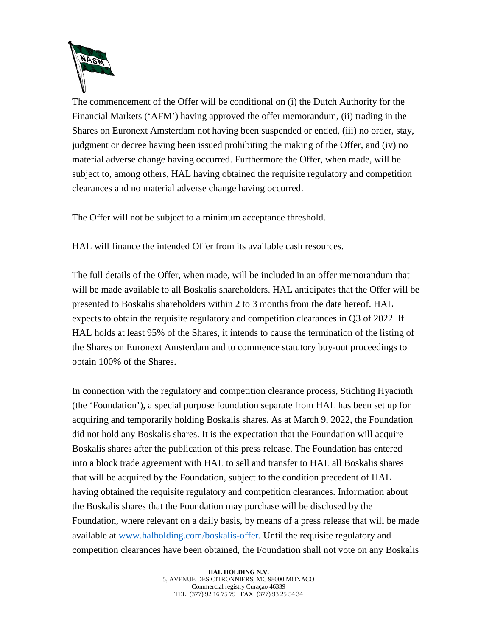

The commencement of the Offer will be conditional on (i) the Dutch Authority for the Financial Markets ('AFM') having approved the offer memorandum, (ii) trading in the Shares on Euronext Amsterdam not having been suspended or ended, (iii) no order, stay, judgment or decree having been issued prohibiting the making of the Offer, and (iv) no material adverse change having occurred. Furthermore the Offer, when made, will be subject to, among others, HAL having obtained the requisite regulatory and competition clearances and no material adverse change having occurred.

The Offer will not be subject to a minimum acceptance threshold.

HAL will finance the intended Offer from its available cash resources.

The full details of the Offer, when made, will be included in an offer memorandum that will be made available to all Boskalis shareholders. HAL anticipates that the Offer will be presented to Boskalis shareholders within 2 to 3 months from the date hereof. HAL expects to obtain the requisite regulatory and competition clearances in Q3 of 2022. If HAL holds at least 95% of the Shares, it intends to cause the termination of the listing of the Shares on Euronext Amsterdam and to commence statutory buy-out proceedings to obtain 100% of the Shares.

In connection with the regulatory and competition clearance process, Stichting Hyacinth (the 'Foundation'), a special purpose foundation separate from HAL has been set up for acquiring and temporarily holding Boskalis shares. As at March 9, 2022, the Foundation did not hold any Boskalis shares. It is the expectation that the Foundation will acquire Boskalis shares after the publication of this press release. The Foundation has entered into a block trade agreement with HAL to sell and transfer to HAL all Boskalis shares that will be acquired by the Foundation, subject to the condition precedent of HAL having obtained the requisite regulatory and competition clearances. Information about the Boskalis shares that the Foundation may purchase will be disclosed by the Foundation, where relevant on a daily basis, by means of a press release that will be made available at [www.halholding.com/boskalis-offer.](http://www.halholding.com/boskalis-offer) Until the requisite regulatory and competition clearances have been obtained, the Foundation shall not vote on any Boskalis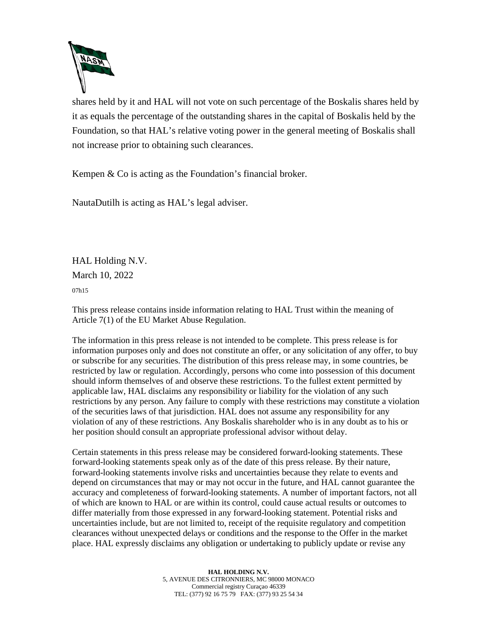

shares held by it and HAL will not vote on such percentage of the Boskalis shares held by it as equals the percentage of the outstanding shares in the capital of Boskalis held by the Foundation, so that HAL's relative voting power in the general meeting of Boskalis shall not increase prior to obtaining such clearances.

Kempen & Co is acting as the Foundation's financial broker.

NautaDutilh is acting as HAL's legal adviser.

HAL Holding N.V. March 10, 2022

07h15

This press release contains inside information relating to HAL Trust within the meaning of Article 7(1) of the EU Market Abuse Regulation.

The information in this press release is not intended to be complete. This press release is for information purposes only and does not constitute an offer, or any solicitation of any offer, to buy or subscribe for any securities. The distribution of this press release may, in some countries, be restricted by law or regulation. Accordingly, persons who come into possession of this document should inform themselves of and observe these restrictions. To the fullest extent permitted by applicable law, HAL disclaims any responsibility or liability for the violation of any such restrictions by any person. Any failure to comply with these restrictions may constitute a violation of the securities laws of that jurisdiction. HAL does not assume any responsibility for any violation of any of these restrictions. Any Boskalis shareholder who is in any doubt as to his or her position should consult an appropriate professional advisor without delay.

Certain statements in this press release may be considered forward-looking statements. These forward-looking statements speak only as of the date of this press release. By their nature, forward-looking statements involve risks and uncertainties because they relate to events and depend on circumstances that may or may not occur in the future, and HAL cannot guarantee the accuracy and completeness of forward-looking statements. A number of important factors, not all of which are known to HAL or are within its control, could cause actual results or outcomes to differ materially from those expressed in any forward-looking statement. Potential risks and uncertainties include, but are not limited to, receipt of the requisite regulatory and competition clearances without unexpected delays or conditions and the response to the Offer in the market place. HAL expressly disclaims any obligation or undertaking to publicly update or revise any

> **HAL HOLDING N.V.** 5, AVENUE DES CITRONNIERS, MC 98000 MONACO Commercial registry Curaçao 46339 TEL: (377) 92 16 75 79 FAX: (377) 93 25 54 34